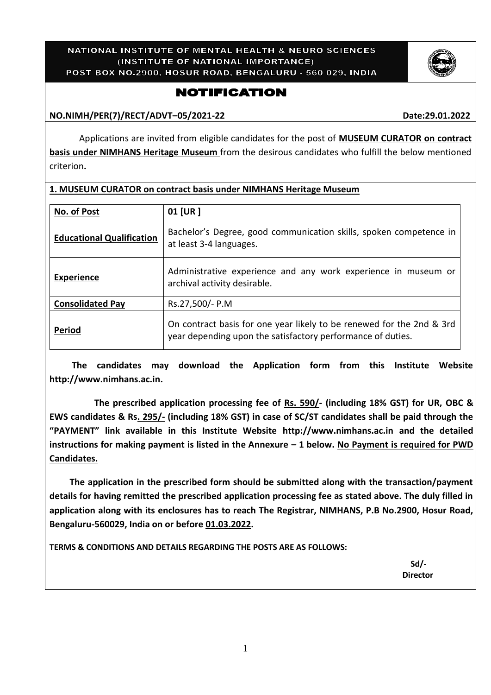#### NATIONAL INSTITUTE OF MENTAL HEALTH & NEURO SCIENCES (INSTITUTE OF NATIONAL IMPORTANCE) POST BOX NO.2900, HOSUR ROAD, BENGALURU - 560 029, INDIA

**1. MUSEUM CURATOR on contract basis under NIMHANS Heritage Museum**

## **NOTIFICATION**

**NO.NIMH/PER(7)/RECT/ADVT–05/2021-22 Date:29.01.2022**

Applications are invited from eligible candidates for the post of **MUSEUM CURATOR on contract basis under NIMHANS Heritage Museum** from the desirous candidates who fulfill the below mentioned criterion**.**

| No. of Post                      | 01 [UR]                                                                                                                              |
|----------------------------------|--------------------------------------------------------------------------------------------------------------------------------------|
| <b>Educational Qualification</b> | Bachelor's Degree, good communication skills, spoken competence in<br>at least 3-4 languages.                                        |
| <b>Experience</b>                | Administrative experience and any work experience in museum or<br>archival activity desirable.                                       |
| <b>Consolidated Pay</b>          | Rs.27,500/- P.M                                                                                                                      |
| Period                           | On contract basis for one year likely to be renewed for the 2nd & 3rd<br>year depending upon the satisfactory performance of duties. |

 **The candidates may download the Application form from this Institute Website [http://www.nimhans.ac.in.](http://www.nimhans.ac.in/)**

 **The prescribed application processing fee of Rs. 590/- (including 18% GST) for UR, OBC & EWS candidates & Rs. 295/- (including 18% GST) in case of SC/ST candidates shall be paid through the "PAYMENT" link available in this Institute Website [http://www.nimhans.ac.in](http://www.nimhans.ac.in/) and the detailed instructions for making payment is listed in the Annexure – 1 below. No Payment is required for PWD Candidates.**

 **The application in the prescribed form should be submitted along with the transaction/payment details for having remitted the prescribed application processing fee as stated above. The duly filled in application along with its enclosures has to reach The Registrar, NIMHANS, P.B No.2900, Hosur Road, Bengaluru-560029, India on or before 01.03.2022.**

**TERMS & CONDITIONS AND DETAILS REGARDING THE POSTS ARE AS FOLLOWS:**

 **Sd/- Director**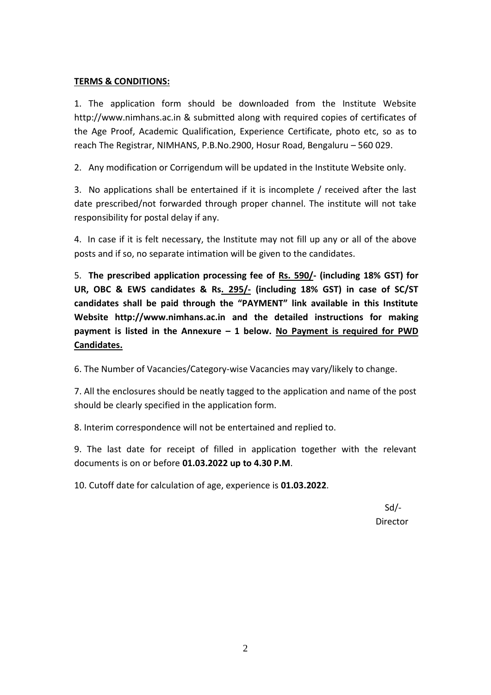### **TERMS & CONDITIONS:**

1. The application form should be downloaded from the Institute Website http://www.nimhans.ac.in & submitted along with required copies of certificates of the Age Proof, Academic Qualification, Experience Certificate, photo etc, so as to reach The Registrar, NIMHANS, P.B.No.2900, Hosur Road, Bengaluru – 560 029.

2. Any modification or Corrigendum will be updated in the Institute Website only.

3. No applications shall be entertained if it is incomplete / received after the last date prescribed/not forwarded through proper channel. The institute will not take responsibility for postal delay if any.

4. In case if it is felt necessary, the Institute may not fill up any or all of the above posts and if so, no separate intimation will be given to the candidates.

5. **The prescribed application processing fee of Rs. 590/- (including 18% GST) for UR, OBC & EWS candidates & Rs. 295/- (including 18% GST) in case of SC/ST candidates shall be paid through the "PAYMENT" link available in this Institute Website [http://www.nimhans.ac.in](http://www.nimhans.ac.in/) and the detailed instructions for making payment is listed in the Annexure – 1 below. No Payment is required for PWD Candidates.**

6. The Number of Vacancies/Category-wise Vacancies may vary/likely to change.

7. All the enclosures should be neatly tagged to the application and name of the post should be clearly specified in the application form.

8. Interim correspondence will not be entertained and replied to.

9. The last date for receipt of filled in application together with the relevant documents is on or before **01.03.2022 up to 4.30 P.M**.

10. Cutoff date for calculation of age, experience is **01.03.2022**.

 Sd/ director in the contract of the contract of the contract of the contract of the contract of the contract of th